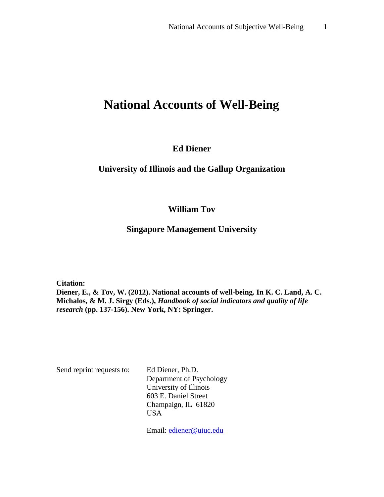# **National Accounts of Well-Being**

## **Ed Diener**

# **University of Illinois and the Gallup Organization**

# **William Tov**

# **Singapore Management University**

**Citation:**

**Diener, E., & Tov, W. (2012). National accounts of well-being. In K. C. Land, A. C. Michalos, & M. J. Sirgy (Eds.),** *Handbook of social indicators and quality of life research* **(pp. 137-156). New York, NY: Springer.**

Send reprint requests to: Ed Diener, Ph.D. Department of Psychology University of Illinois 603 E. Daniel Street Champaign, IL 61820 USA

Email: [ediener@uiuc.edu](mailto:ediener@uiuc.edu)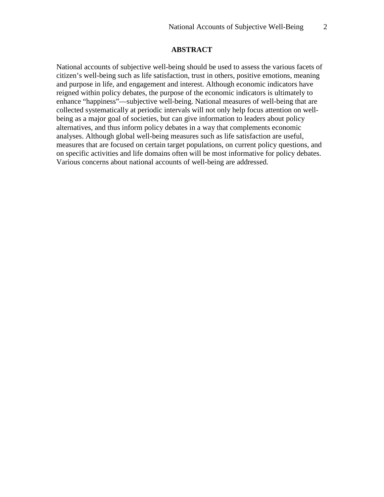## **ABSTRACT**

National accounts of subjective well-being should be used to assess the various facets of citizen's well-being such as life satisfaction, trust in others, positive emotions, meaning and purpose in life, and engagement and interest. Although economic indicators have reigned within policy debates, the purpose of the economic indicators is ultimately to enhance "happiness"—subjective well-being. National measures of well-being that are collected systematically at periodic intervals will not only help focus attention on wellbeing as a major goal of societies, but can give information to leaders about policy alternatives, and thus inform policy debates in a way that complements economic analyses. Although global well-being measures such as life satisfaction are useful, measures that are focused on certain target populations, on current policy questions, and on specific activities and life domains often will be most informative for policy debates. Various concerns about national accounts of well-being are addressed.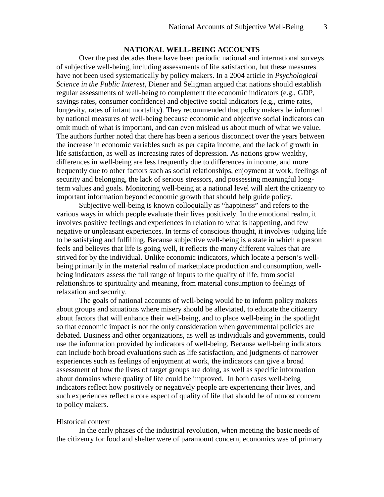#### **NATIONAL WELL-BEING ACCOUNTS**

Over the past decades there have been periodic national and international surveys of subjective well-being, including assessments of life satisfaction, but these measures have not been used systematically by policy makers. In a 2004 article in *Psychological Science in the Public Interest*, Diener and Seligman argued that nations should establish regular assessments of well-being to complement the economic indicators (e.g., GDP, savings rates, consumer confidence) and objective social indicators (e.g., crime rates, longevity, rates of infant mortality). They recommended that policy makers be informed by national measures of well-being because economic and objective social indicators can omit much of what is important, and can even mislead us about much of what we value. The authors further noted that there has been a serious disconnect over the years between the increase in economic variables such as per capita income, and the lack of growth in life satisfaction, as well as increasing rates of depression. As nations grow wealthy, differences in well-being are less frequently due to differences in income, and more frequently due to other factors such as social relationships, enjoyment at work, feelings of security and belonging, the lack of serious stressors, and possessing meaningful longterm values and goals. Monitoring well-being at a national level will alert the citizenry to important information beyond economic growth that should help guide policy.

Subjective well-being is known colloquially as "happiness" and refers to the various ways in which people evaluate their lives positively. In the emotional realm, it involves positive feelings and experiences in relation to what is happening, and few negative or unpleasant experiences. In terms of conscious thought, it involves judging life to be satisfying and fulfilling. Because subjective well-being is a state in which a person feels and believes that life is going well, it reflects the many different values that are strived for by the individual. Unlike economic indicators, which locate a person's wellbeing primarily in the material realm of marketplace production and consumption, wellbeing indicators assess the full range of inputs to the quality of life, from social relationships to spirituality and meaning, from material consumption to feelings of relaxation and security.

The goals of national accounts of well-being would be to inform policy makers about groups and situations where misery should be alleviated, to educate the citizenry about factors that will enhance their well-being, and to place well-being in the spotlight so that economic impact is not the only consideration when governmental policies are debated. Business and other organizations, as well as individuals and governments, could use the information provided by indicators of well-being. Because well-being indicators can include both broad evaluations such as life satisfaction, and judgments of narrower experiences such as feelings of enjoyment at work, the indicators can give a broad assessment of how the lives of target groups are doing, as well as specific information about domains where quality of life could be improved. In both cases well-being indicators reflect how positively or negatively people are experiencing their lives, and such experiences reflect a core aspect of quality of life that should be of utmost concern to policy makers.

#### Historical context

In the early phases of the industrial revolution, when meeting the basic needs of the citizenry for food and shelter were of paramount concern, economics was of primary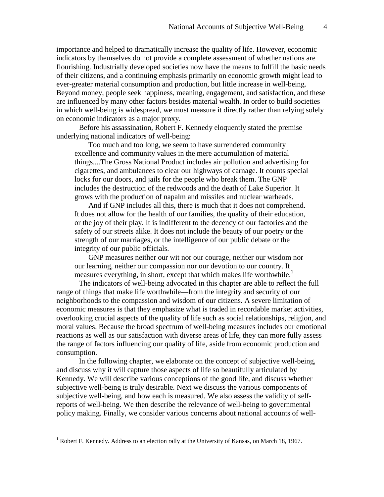importance and helped to dramatically increase the quality of life. However, economic indicators by themselves do not provide a complete assessment of whether nations are flourishing. Industrially developed societies now have the means to fulfill the basic needs of their citizens, and a continuing emphasis primarily on economic growth might lead to ever-greater material consumption and production, but little increase in well-being. Beyond money, people seek happiness, meaning, engagement, and satisfaction, and these are influenced by many other factors besides material wealth. In order to build societies in which well-being is widespread, we must measure it directly rather than relying solely on economic indicators as a major proxy.

Before his assassination, Robert F. Kennedy eloquently stated the premise underlying national indicators of well-being:

Too much and too long, we seem to have surrendered community excellence and community values in the mere accumulation of material things....The Gross National Product includes air pollution and advertising for cigarettes, and ambulances to clear our highways of carnage. It counts special locks for our doors, and jails for the people who break them. The GNP includes the destruction of the redwoods and the death of Lake Superior. It grows with the production of napalm and missiles and nuclear warheads.

And if GNP includes all this, there is much that it does not comprehend. It does not allow for the health of our families, the quality of their education, or the joy of their play. It is indifferent to the decency of our factories and the safety of our streets alike. It does not include the beauty of our poetry or the strength of our marriages, or the intelligence of our public debate or the integrity of our public officials.

GNP measures neither our wit nor our courage, neither our wisdom nor our learning, neither our compassion nor our devotion to our country. It measures everything, in short, except that which makes life worthwhile.<sup>[1](#page-3-0)</sup>

The indicators of well-being advocated in this chapter are able to reflect the full range of things that make life worthwhile—from the integrity and security of our neighborhoods to the compassion and wisdom of our citizens. A severe limitation of economic measures is that they emphasize what is traded in recordable market activities, overlooking crucial aspects of the quality of life such as social relationships, religion, and moral values. Because the broad spectrum of well-being measures includes our emotional reactions as well as our satisfaction with diverse areas of life, they can more fully assess the range of factors influencing our quality of life, aside from economic production and consumption.

In the following chapter, we elaborate on the concept of subjective well-being, and discuss why it will capture those aspects of life so beautifully articulated by Kennedy. We will describe various conceptions of the good life, and discuss whether subjective well-being is truly desirable. Next we discuss the various components of subjective well-being, and how each is measured. We also assess the validity of selfreports of well-being. We then describe the relevance of well-being to governmental policy making. Finally, we consider various concerns about national accounts of well-

<span id="page-3-0"></span> $1$  Robert F. Kennedy. Address to an election rally at the University of Kansas, on March 18, 1967.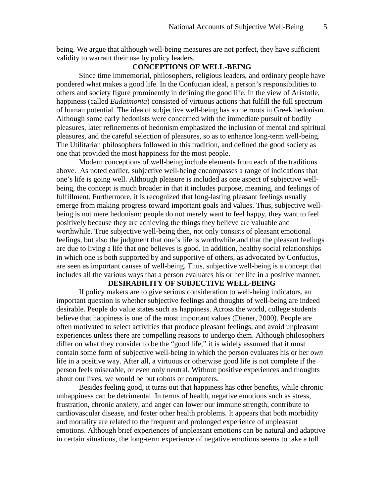being. We argue that although well-being measures are not perfect, they have sufficient validity to warrant their use by policy leaders.

#### **CONCEPTIONS OF WELL-BEING**

Since time immemorial, philosophers, religious leaders, and ordinary people have pondered what makes a good life. In the Confucian ideal, a person's responsibilities to others and society figure prominently in defining the good life. In the view of Aristotle, happiness (called *Eudaimonia*) consisted of virtuous actions that fulfill the full spectrum of human potential. The idea of subjective well-being has some roots in Greek hedonism. Although some early hedonists were concerned with the immediate pursuit of bodily pleasures, later refinements of hedonism emphasized the inclusion of mental and spiritual pleasures, and the careful selection of pleasures, so as to enhance long-term well-being. The Utilitarian philosophers followed in this tradition, and defined the good society as one that provided the most happiness for the most people.

Modern conceptions of well-being include elements from each of the traditions above. As noted earlier, subjective well-being encompasses a range of indications that one's life is going well. Although pleasure is included as one aspect of subjective wellbeing, the concept is much broader in that it includes purpose, meaning, and feelings of fulfillment. Furthermore, it is recognized that long-lasting pleasant feelings usually emerge from making progress toward important goals and values. Thus, subjective wellbeing is not mere hedonism: people do not merely want to feel happy, they want to feel positively because they are achieving the things they believe are valuable and worthwhile. True subjective well-being then, not only consists of pleasant emotional feelings, but also the judgment that one's life is worthwhile and that the pleasant feelings are due to living a life that one believes is good. In addition, healthy social relationships in which one is both supported by and supportive of others, as advocated by Confucius, are seen as important causes of well-being. Thus, subjective well-being is a concept that includes all the various ways that a person evaluates his or her life in a positive manner.

#### **DESIRABILITY OF SUBJECTIVE WELL-BEING**

If policy makers are to give serious consideration to well-being indicators, an important question is whether subjective feelings and thoughts of well-being are indeed desirable. People do value states such as happiness. Across the world, college students believe that happiness is one of the most important values (Diener, 2000). People are often motivated to select activities that produce pleasant feelings, and avoid unpleasant experiences unless there are compelling reasons to undergo them. Although philosophers differ on what they consider to be the "good life," it is widely assumed that it must contain some form of subjective well-being in which the person evaluates his or her *own* life in a positive way. After all, a virtuous or otherwise good life is not complete if the person feels miserable, or even only neutral. Without positive experiences and thoughts about our lives, we would be but robots or computers.

Besides feeling good, it turns out that happiness has other benefits, while chronic unhappiness can be detrimental. In terms of health, negative emotions such as stress, frustration, chronic anxiety, and anger can lower our immune strength, contribute to cardiovascular disease, and foster other health problems. It appears that both morbidity and mortality are related to the frequent and prolonged experience of unpleasant emotions. Although brief experiences of unpleasant emotions can be natural and adaptive in certain situations, the long-term experience of negative emotions seems to take a toll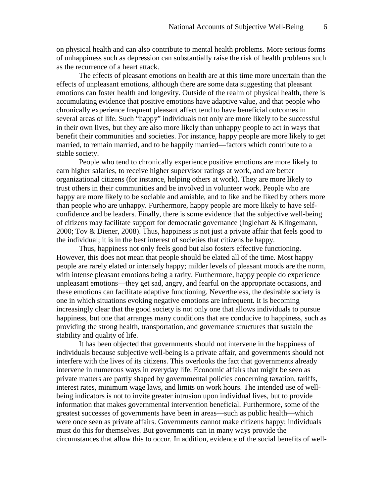on physical health and can also contribute to mental health problems. More serious forms of unhappiness such as depression can substantially raise the risk of health problems such as the recurrence of a heart attack.

The effects of pleasant emotions on health are at this time more uncertain than the effects of unpleasant emotions, although there are some data suggesting that pleasant emotions can foster health and longevity. Outside of the realm of physical health, there is accumulating evidence that positive emotions have adaptive value, and that people who chronically experience frequent pleasant affect tend to have beneficial outcomes in several areas of life. Such "happy" individuals not only are more likely to be successful in their own lives, but they are also more likely than unhappy people to act in ways that benefit their communities and societies. For instance, happy people are more likely to get married, to remain married, and to be happily married—factors which contribute to a stable society.

People who tend to chronically experience positive emotions are more likely to earn higher salaries, to receive higher supervisor ratings at work, and are better organizational citizens (for instance, helping others at work). They are more likely to trust others in their communities and be involved in volunteer work. People who are happy are more likely to be sociable and amiable, and to like and be liked by others more than people who are unhappy. Furthermore, happy people are more likely to have selfconfidence and be leaders. Finally, there is some evidence that the subjective well-being of citizens may facilitate support for democratic governance (Inglehart & Klingemann, 2000; Tov & Diener, 2008). Thus, happiness is not just a private affair that feels good to the individual; it is in the best interest of societies that citizens be happy.

Thus, happiness not only feels good but also fosters effective functioning. However, this does not mean that people should be elated all of the time. Most happy people are rarely elated or intensely happy; milder levels of pleasant moods are the norm, with intense pleasant emotions being a rarity. Furthermore, happy people do experience unpleasant emotions—they get sad, angry, and fearful on the appropriate occasions, and these emotions can facilitate adaptive functioning. Nevertheless, the desirable society is one in which situations evoking negative emotions are infrequent. It is becoming increasingly clear that the good society is not only one that allows individuals to pursue happiness, but one that arranges many conditions that are conducive to happiness, such as providing the strong health, transportation, and governance structures that sustain the stability and quality of life.

It has been objected that governments should not intervene in the happiness of individuals because subjective well-being is a private affair, and governments should not interfere with the lives of its citizens. This overlooks the fact that governments already intervene in numerous ways in everyday life. Economic affairs that might be seen as private matters are partly shaped by governmental policies concerning taxation, tariffs, interest rates, minimum wage laws, and limits on work hours. The intended use of wellbeing indicators is not to invite greater intrusion upon individual lives, but to provide information that makes governmental intervention beneficial. Furthermore, some of the greatest successes of governments have been in areas—such as public health—which were once seen as private affairs. Governments cannot make citizens happy; individuals must do this for themselves. But governments can in many ways provide the circumstances that allow this to occur. In addition, evidence of the social benefits of well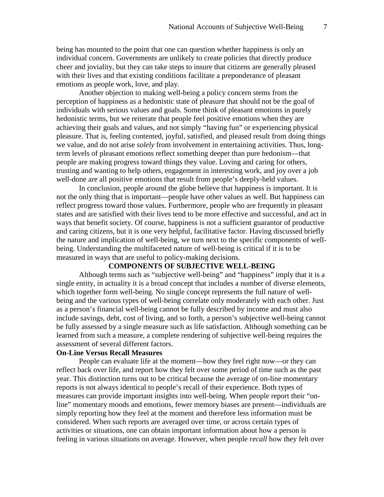being has mounted to the point that one can question whether happiness is only an individual concern. Governments are unlikely to create policies that directly produce cheer and joviality, but they can take steps to insure that citizens are generally pleased with their lives and that existing conditions facilitate a preponderance of pleasant emotions as people work, love, and play.

Another objection to making well-being a policy concern stems from the perception of happiness as a hedonistic state of pleasure that should not be the goal of individuals with serious values and goals. Some think of pleasant emotions in purely hedonistic terms, but we reiterate that people feel positive emotions when they are achieving their goals and values, and not simply "having fun" or experiencing physical pleasure. That is, feeling contented, joyful, satisfied, and pleased result from doing things we value, and do not arise *solely* from involvement in entertaining activities. Thus, longterm levels of pleasant emotions reflect something deeper than pure hedonism—that people are making progress toward things they value. Loving and caring for others, trusting and wanting to help others, engagement in interesting work, and joy over a job well-done are all positive emotions that result from people's deeply-held values.

In conclusion, people around the globe believe that happiness is important. It is not the only thing that is important—people have other values as well. But happiness can reflect progress toward those values. Furthermore, people who are frequently in pleasant states and are satisfied with their lives tend to be more effective and successful, and act in ways that benefit society. Of course, happiness is not a sufficient guarantor of productive and caring citizens, but it is one very helpful, facilitative factor. Having discussed briefly the nature and implication of well-being, we turn next to the specific components of wellbeing. Understanding the multifaceted nature of well-being is critical if it is to be measured in ways that are useful to policy-making decisions.

## **COMPONENTS OF SUBJECTIVE WELL-BEING**

Although terms such as "subjective well-being" and "happiness" imply that it is a single entity, in actuality it is a broad concept that includes a number of diverse elements, which together form well-being. No single concept represents the full nature of wellbeing and the various types of well-being correlate only moderately with each other. Just as a person's financial well-being cannot be fully described by income and must also include savings, debt, cost of living, and so forth, a person's subjective well-being cannot be fully assessed by a single measure such as life satisfaction. Although something can be learned from such a measure, a complete rendering of subjective well-being requires the assessment of several different factors.

## **On-Line Versus Recall Measures**

People can evaluate life at the moment—how they feel right now—or they can reflect back over life, and report how they felt over some period of time such as the past year. This distinction turns out to be critical because the average of on-line momentary reports is not always identical to people's recall of their experience. Both types of measures can provide important insights into well-being. When people report their "online" momentary moods and emotions, fewer memory biases are present—individuals are simply reporting how they feel at the moment and therefore less information must be considered. When such reports are averaged over time, or across certain types of activities or situations, one can obtain important information about how a person is feeling in various situations on average. However, when people *recall* how they felt over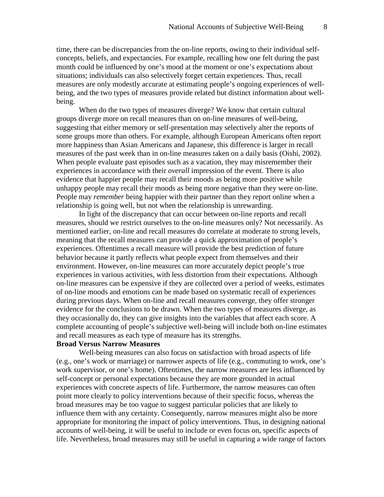time, there can be discrepancies from the on-line reports, owing to their individual selfconcepts, beliefs, and expectancies. For example, recalling how one felt during the past month could be influenced by one's mood at the moment or one's expectations about situations; individuals can also selectively forget certain experiences. Thus, recall measures are only modestly accurate at estimating people's ongoing experiences of wellbeing, and the two types of measures provide related but distinct information about wellbeing.

When do the two types of measures diverge? We know that certain cultural groups diverge more on recall measures than on on-line measures of well-being, suggesting that either memory or self-presentation may selectively alter the reports of some groups more than others. For example, although European Americans often report more happiness than Asian Americans and Japanese, this difference is larger in recall measures of the past week than in on-line measures taken on a daily basis (Oishi, 2002). When people evaluate past episodes such as a vacation, they may misremember their experiences in accordance with their *overall* impression of the event. There is also evidence that happier people may recall their moods as being more positive while unhappy people may recall their moods as being more negative than they were on-line. People may *remember* being happier with their partner than they report online when a relationship is going well, but not when the relationship is unrewarding.

In light of the discrepancy that can occur between on-line reports and recall measures, should we restrict ourselves to the on-line measures only? Not necessarily. As mentioned earlier, on-line and recall measures do correlate at moderate to strong levels, meaning that the recall measures can provide a quick approximation of people's experiences. Oftentimes a recall measure will provide the best prediction of future behavior because it partly reflects what people expect from themselves and their environment. However, on-line measures can more accurately depict people's true experiences in various activities, with less distortion from their expectations. Although on-line measures can be expensive if they are collected over a period of weeks, estimates of on-line moods and emotions can be made based on systematic recall of experiences during previous days. When on-line and recall measures converge, they offer stronger evidence for the conclusions to be drawn. When the two types of measures diverge, as they occasionally do, they can give insights into the variables that affect each score. A complete accounting of people's subjective well-being will include both on-line estimates and recall measures as each type of measure has its strengths.

#### **Broad Versus Narrow Measures**

Well-being measures can also focus on satisfaction with broad aspects of life (e.g., one's work or marriage) or narrower aspects of life (e.g., commuting to work, one's work supervisor, or one's home). Oftentimes, the narrow measures are less influenced by self-concept or personal expectations because they are more grounded in actual experiences with concrete aspects of life. Furthermore, the narrow measures can often point more clearly to policy interventions because of their specific focus, whereas the broad measures may be too vague to suggest particular policies that are likely to influence them with any certainty. Consequently, narrow measures might also be more appropriate for monitoring the impact of policy interventions. Thus, in designing national accounts of well-being, it will be useful to include or even focus on, specific aspects of life. Nevertheless, broad measures may still be useful in capturing a wide range of factors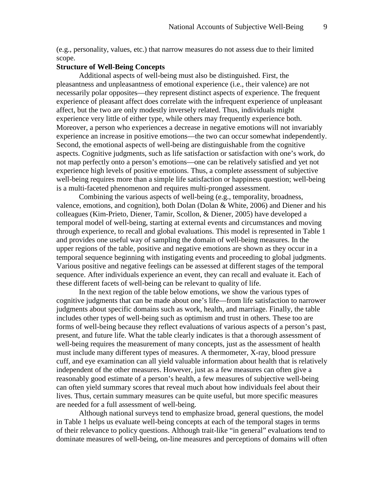(e.g., personality, values, etc.) that narrow measures do not assess due to their limited scope.

#### **Structure of Well-Being Concepts**

Additional aspects of well-being must also be distinguished. First, the pleasantness and unpleasantness of emotional experience (i.e., their valence) are not necessarily polar opposites—they represent distinct aspects of experience. The frequent experience of pleasant affect does correlate with the infrequent experience of unpleasant affect, but the two are only modestly inversely related. Thus, individuals might experience very little of either type, while others may frequently experience both. Moreover, a person who experiences a decrease in negative emotions will not invariably experience an increase in positive emotions—the two can occur somewhat independently. Second, the emotional aspects of well-being are distinguishable from the cognitive aspects. Cognitive judgments, such as life satisfaction or satisfaction with one's work, do not map perfectly onto a person's emotions—one can be relatively satisfied and yet not experience high levels of positive emotions. Thus, a complete assessment of subjective well-being requires more than a simple life satisfaction or happiness question; well-being is a multi-faceted phenomenon and requires multi-pronged assessment.

Combining the various aspects of well-being (e.g., temporality, broadness, valence, emotions, and cognition), both Dolan (Dolan & White, 2006) and Diener and his colleagues (Kim-Prieto, Diener, Tamir, Scollon, & Diener, 2005) have developed a temporal model of well-being, starting at external events and circumstances and moving through experience, to recall and global evaluations. This model is represented in Table 1 and provides one useful way of sampling the domain of well-being measures. In the upper regions of the table, positive and negative emotions are shown as they occur in a temporal sequence beginning with instigating events and proceeding to global judgments. Various positive and negative feelings can be assessed at different stages of the temporal sequence. After individuals experience an event, they can recall and evaluate it. Each of these different facets of well-being can be relevant to quality of life.

In the next region of the table below emotions, we show the various types of cognitive judgments that can be made about one's life—from life satisfaction to narrower judgments about specific domains such as work, health, and marriage. Finally, the table includes other types of well-being such as optimism and trust in others. These too are forms of well-being because they reflect evaluations of various aspects of a person's past, present, and future life. What the table clearly indicates is that a thorough assessment of well-being requires the measurement of many concepts, just as the assessment of health must include many different types of measures. A thermometer, X-ray, blood pressure cuff, and eye examination can all yield valuable information about health that is relatively independent of the other measures. However, just as a few measures can often give a reasonably good estimate of a person's health, a few measures of subjective well-being can often yield summary scores that reveal much about how individuals feel about their lives. Thus, certain summary measures can be quite useful, but more specific measures are needed for a full assessment of well-being.

Although national surveys tend to emphasize broad, general questions, the model in Table 1 helps us evaluate well-being concepts at each of the temporal stages in terms of their relevance to policy questions. Although trait-like "in general" evaluations tend to dominate measures of well-being, on-line measures and perceptions of domains will often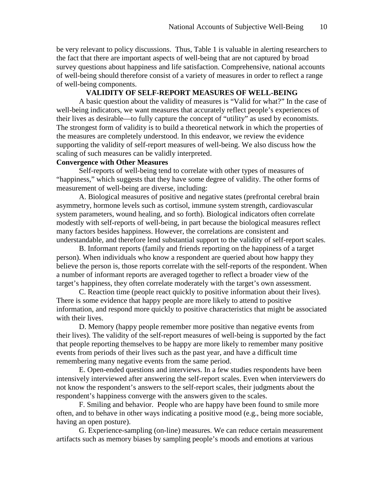be very relevant to policy discussions. Thus, Table 1 is valuable in alerting researchers to the fact that there are important aspects of well-being that are not captured by broad survey questions about happiness and life satisfaction. Comprehensive, national accounts of well-being should therefore consist of a variety of measures in order to reflect a range of well-being components.

## **VALIDITY OF SELF-REPORT MEASURES OF WELL-BEING**

A basic question about the validity of measures is "Valid for what?" In the case of well-being indicators, we want measures that accurately reflect people's experiences of their lives as desirable—to fully capture the concept of "utility" as used by economists. The strongest form of validity is to build a theoretical network in which the properties of the measures are completely understood. In this endeavor, we review the evidence supporting the validity of self-report measures of well-being. We also discuss how the scaling of such measures can be validly interpreted.

#### **Convergence with Other Measures**

Self-reports of well-being tend to correlate with other types of measures of "happiness," which suggests that they have some degree of validity. The other forms of measurement of well-being are diverse, including:

A. Biological measures of positive and negative states (prefrontal cerebral brain asymmetry, hormone levels such as cortisol, immune system strength, cardiovascular system parameters, wound healing, and so forth). Biological indicators often correlate modestly with self-reports of well-being, in part because the biological measures reflect many factors besides happiness. However, the correlations are consistent and understandable, and therefore lend substantial support to the validity of self-report scales.

B. Informant reports (family and friends reporting on the happiness of a target person). When individuals who know a respondent are queried about how happy they believe the person is, those reports correlate with the self-reports of the respondent. When a number of informant reports are averaged together to reflect a broader view of the target's happiness, they often correlate moderately with the target's own assessment.

C. Reaction time (people react quickly to positive information about their lives). There is some evidence that happy people are more likely to attend to positive information, and respond more quickly to positive characteristics that might be associated with their lives.

D. Memory (happy people remember more positive than negative events from their lives). The validity of the self-report measures of well-being is supported by the fact that people reporting themselves to be happy are more likely to remember many positive events from periods of their lives such as the past year, and have a difficult time remembering many negative events from the same period.

E. Open-ended questions and interviews. In a few studies respondents have been intensively interviewed after answering the self-report scales. Even when interviewers do not know the respondent's answers to the self-report scales, their judgments about the respondent's happiness converge with the answers given to the scales.

F. Smiling and behavior. People who are happy have been found to smile more often, and to behave in other ways indicating a positive mood (e.g., being more sociable, having an open posture).

G. Experience-sampling (on-line) measures. We can reduce certain measurement artifacts such as memory biases by sampling people's moods and emotions at various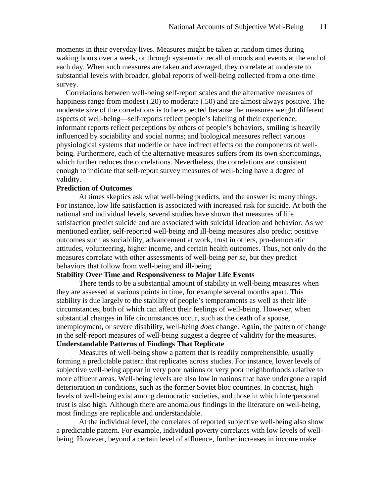moments in their everyday lives. Measures might be taken at random times during waking hours over a week, or through systematic recall of moods and events at the end of each day. When such measures are taken and averaged, they correlate at moderate to substantial levels with broader, global reports of well-being collected from a one-time survey.

Correlations between well-being self-report scales and the alternative measures of happiness range from modest (.20) to moderate (.50) and are almost always positive. The moderate size of the correlations is to be expected because the measures weight different aspects of well-being—self-reports reflect people's labeling of their experience; informant reports reflect perceptions by others of people's behaviors, smiling is heavily influenced by sociability and social norms; and biological measures reflect various physiological systems that underlie or have indirect effects on the components of wellbeing. Furthermore, each of the alternative measures suffers from its own shortcomings, which further reduces the correlations. Nevertheless, the correlations are consistent enough to indicate that self-report survey measures of well-being have a degree of validity.

#### **Prediction of Outcomes**

At times skeptics ask what well-being predicts, and the answer is: many things. For instance, low life satisfaction is associated with increased risk for suicide. At both the national and individual levels, several studies have shown that measures of life satisfaction predict suicide and are associated with suicidal ideation and behavior. As we mentioned earlier, self-reported well-being and ill-being measures also predict positive outcomes such as sociability, advancement at work, trust in others, pro-democratic attitudes, volunteering, higher income, and certain health outcomes. Thus, not only do the measures correlate with other assessments of well-being *per se*, but they predict behaviors that follow from well-being and ill-being.

#### **Stability Over Time and Responsiveness to Major Life Events**

There tends to be a substantial amount of stability in well-being measures when they are assessed at various points in time, for example several months apart. This stability is due largely to the stability of people's temperaments as well as their life circumstances, both of which can affect their feelings of well-being. However, when substantial changes in life circumstances occur, such as the death of a spouse, unemployment, or severe disability, well-being *does* change. Again, the pattern of change in the self-report measures of well-being suggest a degree of validity for the measures. **Understandable Patterns of Findings That Replicate**

Measures of well-being show a pattern that is readily comprehensible, usually forming a predictable pattern that replicates across studies. For instance, lower levels of subjective well-being appear in very poor nations or very poor neighborhoods relative to more affluent areas. Well-being levels are also low in nations that have undergone a rapid deterioration in conditions, such as the former Soviet bloc countries. In contrast, high levels of well-being exist among democratic societies, and those in which interpersonal trust is also high. Although there are anomalous findings in the literature on well-being, most findings are replicable and understandable.

At the individual level, the correlates of reported subjective well-being also show a predictable pattern. For example, individual poverty correlates with low levels of wellbeing. However, beyond a certain level of affluence, further increases in income make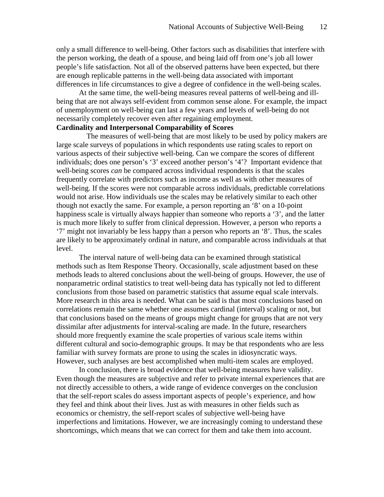only a small difference to well-being. Other factors such as disabilities that interfere with the person working, the death of a spouse, and being laid off from one's job all lower people's life satisfaction. Not all of the observed patterns have been expected, but there are enough replicable patterns in the well-being data associated with important differences in life circumstances to give a degree of confidence in the well-being scales.

At the same time, the well-being measures reveal patterns of well-being and illbeing that are not always self-evident from common sense alone. For example, the impact of unemployment on well-being can last a few years and levels of well-being do not necessarily completely recover even after regaining employment.

## **Cardinality and Interpersonal Comparability of Scores**

The measures of well-being that are most likely to be used by policy makers are large scale surveys of populations in which respondents use rating scales to report on various aspects of their subjective well-being. Can we compare the scores of different individuals; does one person's '3' exceed another person's '4'? Important evidence that well-being scores *can* be compared across individual respondents is that the scales frequently correlate with predictors such as income as well as with other measures of well-being. If the scores were not comparable across individuals, predictable correlations would not arise. How individuals use the scales may be relatively similar to each other though not exactly the same. For example, a person reporting an '8' on a 10-point happiness scale is virtually always happier than someone who reports a '3', and the latter is much more likely to suffer from clinical depression. However, a person who reports a '7' might not invariably be less happy than a person who reports an '8'. Thus, the scales are likely to be approximately ordinal in nature, and comparable across individuals at that level.

The interval nature of well-being data can be examined through statistical methods such as Item Response Theory. Occasionally, scale adjustment based on these methods leads to altered conclusions about the well-being of groups. However, the use of nonparametric ordinal statistics to treat well-being data has typically not led to different conclusions from those based on parametric statistics that assume equal scale intervals. More research in this area is needed. What can be said is that most conclusions based on correlations remain the same whether one assumes cardinal (interval) scaling or not, but that conclusions based on the means of groups might change for groups that are not very dissimilar after adjustments for interval-scaling are made. In the future, researchers should more frequently examine the scale properties of various scale items within different cultural and socio-demographic groups. It may be that respondents who are less familiar with survey formats are prone to using the scales in idiosyncratic ways. However, such analyses are best accomplished when multi-item scales are employed.

In conclusion, there is broad evidence that well-being measures have validity. Even though the measures are subjective and refer to private internal experiences that are not directly accessible to others, a wide range of evidence converges on the conclusion that the self-report scales do assess important aspects of people's experience, and how they feel and think about their lives. Just as with measures in other fields such as economics or chemistry, the self-report scales of subjective well-being have imperfections and limitations. However, we are increasingly coming to understand these shortcomings, which means that we can correct for them and take them into account.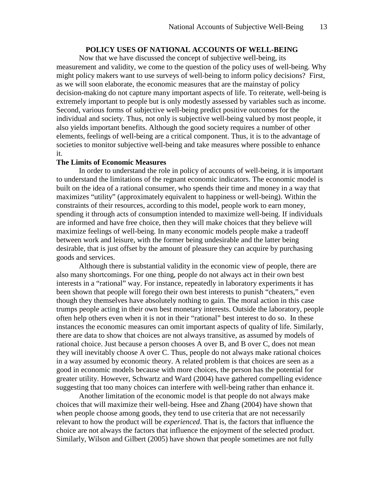## **POLICY USES OF NATIONAL ACCOUNTS OF WELL-BEING**

Now that we have discussed the concept of subjective well-being, its measurement and validity, we come to the question of the policy uses of well-being. Why might policy makers want to use surveys of well-being to inform policy decisions? First, as we will soon elaborate, the economic measures that are the mainstay of policy decision-making do not capture many important aspects of life. To reiterate, well-being is extremely important to people but is only modestly assessed by variables such as income. Second, various forms of subjective well-being predict positive outcomes for the individual and society. Thus, not only is subjective well-being valued by most people, it also yields important benefits. Although the good society requires a number of other elements, feelings of well-being are a critical component. Thus, it is to the advantage of societies to monitor subjective well-being and take measures where possible to enhance it.

#### **The Limits of Economic Measures**

In order to understand the role in policy of accounts of well-being, it is important to understand the limitations of the regnant economic indicators. The economic model is built on the idea of a rational consumer, who spends their time and money in a way that maximizes "utility" (approximately equivalent to happiness or well-being). Within the constraints of their resources, according to this model, people work to earn money, spending it through acts of consumption intended to maximize well-being. If individuals are informed and have free choice, then they will make choices that they believe will maximize feelings of well-being. In many economic models people make a tradeoff between work and leisure, with the former being undesirable and the latter being desirable, that is just offset by the amount of pleasure they can acquire by purchasing goods and services.

Although there is substantial validity in the economic view of people, there are also many shortcomings. For one thing, people do not always act in their own best interests in a "rational" way. For instance, repeatedly in laboratory experiments it has been shown that people will forego their own best interests to punish "cheaters," even though they themselves have absolutely nothing to gain. The moral action in this case trumps people acting in their own best monetary interests. Outside the laboratory, people often help others even when it is not in their "rational" best interest to do so. In these instances the economic measures can omit important aspects of quality of life. Similarly, there are data to show that choices are not always transitive, as assumed by models of rational choice. Just because a person chooses A over B, and B over C, does not mean they will inevitably choose A over C. Thus, people do not always make rational choices in a way assumed by economic theory. A related problem is that choices are seen as a good in economic models because with more choices, the person has the potential for greater utility. However, Schwartz and Ward (2004) have gathered compelling evidence suggesting that too many choices can interfere with well-being rather than enhance it.

Another limitation of the economic model is that people do not always make choices that will maximize their well-being. Hsee and Zhang (2004) have shown that when people choose among goods, they tend to use criteria that are not necessarily relevant to how the product will be *experienced*. That is, the factors that influence the choice are not always the factors that influence the enjoyment of the selected product. Similarly, Wilson and Gilbert (2005) have shown that people sometimes are not fully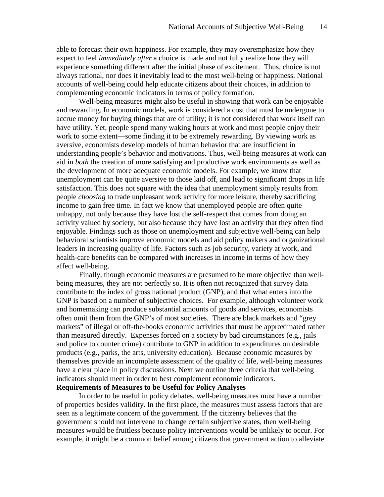able to forecast their own happiness. For example, they may overemphasize how they expect to feel *immediately after* a choice is made and not fully realize how they will experience something different after the initial phase of excitement. Thus, choice is not always rational, nor does it inevitably lead to the most well-being or happiness. National accounts of well-being could help educate citizens about their choices, in addition to complementing economic indicators in terms of policy formation.

Well-being measures might also be useful in showing that work can be enjoyable and rewarding. In economic models, work is considered a cost that must be undergone to accrue money for buying things that are of utility; it is not considered that work itself can have utility. Yet, people spend many waking hours at work and most people enjoy their work to some extent—some finding it to be extremely rewarding. By viewing work as aversive, economists develop models of human behavior that are insufficient in understanding people's behavior and motivations. Thus, well-being measures at work can aid in *both* the creation of more satisfying and productive work environments as well as the development of more adequate economic models. For example, we know that unemployment can be quite aversive to those laid off, and lead to significant drops in life satisfaction. This does not square with the idea that unemployment simply results from people *choosing* to trade unpleasant work activity for more leisure, thereby sacrificing income to gain free time. In fact we know that unemployed people are often quite unhappy, not only because they have lost the self-respect that comes from doing an activity valued by society, but also because they have lost an activity that they often find enjoyable. Findings such as those on unemployment and subjective well-being can help behavioral scientists improve economic models and aid policy makers and organizational leaders in increasing quality of life. Factors such as job security, variety at work, and health-care benefits can be compared with increases in income in terms of how they affect well-being.

Finally, though economic measures are presumed to be more objective than wellbeing measures, they are not perfectly so. It is often not recognized that survey data contribute to the index of gross national product (GNP), and that what enters into the GNP is based on a number of subjective choices. For example, although volunteer work and homemaking can produce substantial amounts of goods and services, economists often omit them from the GNP's of most societies. There are black markets and "grey markets" of illegal or off-the-books economic activities that must be approximated rather than measured directly. Expenses forced on a society by bad circumstances (e.g., jails and police to counter crime) contribute to GNP in addition to expenditures on desirable products (e.g., parks, the arts, university education). Because economic measures by themselves provide an incomplete assessment of the quality of life, well-being measures have a clear place in policy discussions. Next we outline three criteria that well-being indicators should meet in order to best complement economic indicators.

#### **Requirements of Measures to be Useful for Policy Analyses**

In order to be useful in policy debates, well-being measures must have a number of properties besides validity. In the first place, the measures must assess factors that are seen as a legitimate concern of the government. If the citizenry believes that the government should not intervene to change certain subjective states, then well-being measures would be fruitless because policy interventions would be unlikely to occur. For example, it might be a common belief among citizens that government action to alleviate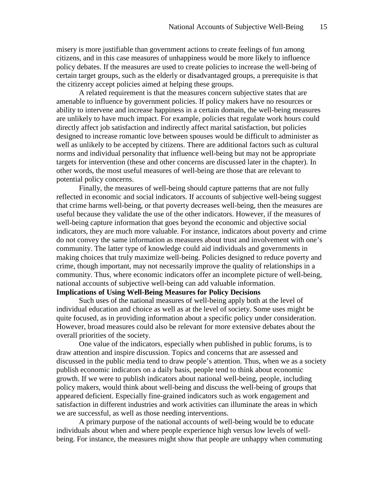misery is more justifiable than government actions to create feelings of fun among citizens, and in this case measures of unhappiness would be more likely to influence policy debates. If the measures are used to create policies to increase the well-being of certain target groups, such as the elderly or disadvantaged groups, a prerequisite is that the citizenry accept policies aimed at helping these groups.

A related requirement is that the measures concern subjective states that are amenable to influence by government policies. If policy makers have no resources or ability to intervene and increase happiness in a certain domain, the well-being measures are unlikely to have much impact. For example, policies that regulate work hours could directly affect job satisfaction and indirectly affect marital satisfaction, but policies designed to increase romantic love between spouses would be difficult to administer as well as unlikely to be accepted by citizens. There are additional factors such as cultural norms and individual personality that influence well-being but may not be appropriate targets for intervention (these and other concerns are discussed later in the chapter). In other words, the most useful measures of well-being are those that are relevant to potential policy concerns.

Finally, the measures of well-being should capture patterns that are not fully reflected in economic and social indicators. If accounts of subjective well-being suggest that crime harms well-being, or that poverty decreases well-being, then the measures are useful because they validate the use of the other indicators. However, if the measures of well-being capture information that goes beyond the economic and objective social indicators, they are much more valuable. For instance, indicators about poverty and crime do not convey the same information as measures about trust and involvement with one's community. The latter type of knowledge could aid individuals and governments in making choices that truly maximize well-being. Policies designed to reduce poverty and crime, though important, may not necessarily improve the quality of relationships in a community. Thus, where economic indicators offer an incomplete picture of well-being, national accounts of subjective well-being can add valuable information.

## **Implications of Using Well-Being Measures for Policy Decisions**

Such uses of the national measures of well-being apply both at the level of individual education and choice as well as at the level of society. Some uses might be quite focused, as in providing information about a specific policy under consideration. However, broad measures could also be relevant for more extensive debates about the overall priorities of the society.

One value of the indicators, especially when published in public forums, is to draw attention and inspire discussion. Topics and concerns that are assessed and discussed in the public media tend to draw people's attention. Thus, when we as a society publish economic indicators on a daily basis, people tend to think about economic growth. If we were to publish indicators about national well-being, people, including policy makers, would think about well-being and discuss the well-being of groups that appeared deficient. Especially fine-grained indicators such as work engagement and satisfaction in different industries and work activities can illuminate the areas in which we are successful, as well as those needing interventions.

A primary purpose of the national accounts of well-being would be to educate individuals about when and where people experience high versus low levels of wellbeing. For instance, the measures might show that people are unhappy when commuting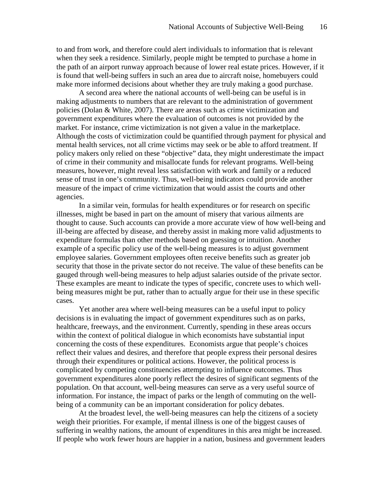to and from work, and therefore could alert individuals to information that is relevant when they seek a residence. Similarly, people might be tempted to purchase a home in the path of an airport runway approach because of lower real estate prices. However, if it is found that well-being suffers in such an area due to aircraft noise, homebuyers could make more informed decisions about whether they are truly making a good purchase.

A second area where the national accounts of well-being can be useful is in making adjustments to numbers that are relevant to the administration of government policies (Dolan & White, 2007). There are areas such as crime victimization and government expenditures where the evaluation of outcomes is not provided by the market. For instance, crime victimization is not given a value in the marketplace. Although the costs of victimization could be quantified through payment for physical and mental health services, not all crime victims may seek or be able to afford treatment. If policy makers only relied on these "objective" data, they might underestimate the impact of crime in their community and misallocate funds for relevant programs. Well-being measures, however, might reveal less satisfaction with work and family or a reduced sense of trust in one's community. Thus, well-being indicators could provide another measure of the impact of crime victimization that would assist the courts and other agencies.

In a similar vein, formulas for health expenditures or for research on specific illnesses, might be based in part on the amount of misery that various ailments are thought to cause. Such accounts can provide a more accurate view of how well-being and ill-being are affected by disease, and thereby assist in making more valid adjustments to expenditure formulas than other methods based on guessing or intuition. Another example of a specific policy use of the well-being measures is to adjust government employee salaries. Government employees often receive benefits such as greater job security that those in the private sector do not receive. The value of these benefits can be gauged through well-being measures to help adjust salaries outside of the private sector. These examples are meant to indicate the types of specific, concrete uses to which wellbeing measures might be put, rather than to actually argue for their use in these specific cases.

Yet another area where well-being measures can be a useful input to policy decisions is in evaluating the impact of government expenditures such as on parks, healthcare, freeways, and the environment. Currently, spending in these areas occurs within the context of political dialogue in which economists have substantial input concerning the costs of these expenditures. Economists argue that people's choices reflect their values and desires, and therefore that people express their personal desires through their expenditures or political actions. However, the political process is complicated by competing constituencies attempting to influence outcomes. Thus government expenditures alone poorly reflect the desires of significant segments of the population. On that account, well-being measures can serve as a very useful source of information. For instance, the impact of parks or the length of commuting on the wellbeing of a community can be an important consideration for policy debates.

At the broadest level, the well-being measures can help the citizens of a society weigh their priorities. For example, if mental illness is one of the biggest causes of suffering in wealthy nations, the amount of expenditures in this area might be increased. If people who work fewer hours are happier in a nation, business and government leaders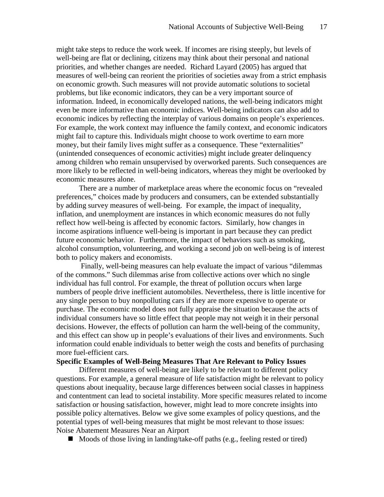might take steps to reduce the work week. If incomes are rising steeply, but levels of well-being are flat or declining, citizens may think about their personal and national priorities, and whether changes are needed. Richard Layard (2005) has argued that measures of well-being can reorient the priorities of societies away from a strict emphasis on economic growth. Such measures will not provide automatic solutions to societal problems, but like economic indicators, they can be a very important source of information. Indeed, in economically developed nations, the well-being indicators might even be more informative than economic indices. Well-being indicators can also add to economic indices by reflecting the interplay of various domains on people's experiences. For example, the work context may influence the family context, and economic indicators might fail to capture this. Individuals might choose to work overtime to earn more money, but their family lives might suffer as a consequence. These "externalities" (unintended consequences of economic activities) might include greater delinquency among children who remain unsupervised by overworked parents. Such consequences are more likely to be reflected in well-being indicators, whereas they might be overlooked by economic measures alone.

There are a number of marketplace areas where the economic focus on "revealed preferences," choices made by producers and consumers, can be extended substantially by adding survey measures of well-being. For example, the impact of inequality, inflation, and unemployment are instances in which economic measures do not fully reflect how well-being is affected by economic factors. Similarly, how changes in income aspirations influence well-being is important in part because they can predict future economic behavior. Furthermore, the impact of behaviors such as smoking, alcohol consumption, volunteering, and working a second job on well-being is of interest both to policy makers and economists.

Finally, well-being measures can help evaluate the impact of various "dilemmas of the commons." Such dilemmas arise from collective actions over which no single individual has full control. For example, the threat of pollution occurs when large numbers of people drive inefficient automobiles. Nevertheless, there is little incentive for any single person to buy nonpolluting cars if they are more expensive to operate or purchase. The economic model does not fully appraise the situation because the acts of individual consumers have so little effect that people may not weigh it in their personal decisions. However, the effects of pollution can harm the well-being of the community, and this effect can show up in people's evaluations of their lives and environments. Such information could enable individuals to better weigh the costs and benefits of purchasing more fuel-efficient cars.

#### **Specific Examples of Well-Being Measures That Are Relevant to Policy Issues**

Different measures of well-being are likely to be relevant to different policy questions. For example, a general measure of life satisfaction might be relevant to policy questions about inequality, because large differences between social classes in happiness and contentment can lead to societal instability. More specific measures related to income satisfaction or housing satisfaction, however, might lead to more concrete insights into possible policy alternatives. Below we give some examples of policy questions, and the potential types of well-being measures that might be most relevant to those issues: Noise Abatement Measures Near an Airport

Moods of those living in landing/take-off paths (e.g., feeling rested or tired)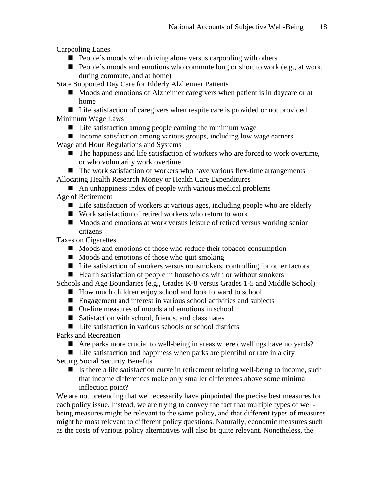Carpooling Lanes

- **People's moods when driving alone versus carpooling with others**
- **People's moods and emotions who commute long or short to work (e.g., at work,** during commute, and at home)

State Supported Day Care for Elderly Alzheimer Patients

Moods and emotions of Alzheimer caregivers when patient is in daycare or at home

■ Life satisfaction of caregivers when respite care is provided or not provided Minimum Wage Laws

 $\blacksquare$  Life satisfaction among people earning the minimum wage

■ Income satisfaction among various groups, including low wage earners Wage and Hour Regulations and Systems

- $\blacksquare$  The happiness and life satisfaction of workers who are forced to work overtime, or who voluntarily work overtime
- $\blacksquare$  The work satisfaction of workers who have various flex-time arrangements Allocating Health Research Money or Health Care Expenditures

 $\blacksquare$  An unhappiness index of people with various medical problems Age of Retirement

- Life satisfaction of workers at various ages, including people who are elderly
- Work satisfaction of retired workers who return to work
- Moods and emotions at work versus leisure of retired versus working senior citizens

Taxes on Cigarettes

- Moods and emotions of those who reduce their tobacco consumption
- $\blacksquare$  Moods and emotions of those who quit smoking
- Life satisfaction of smokers versus nonsmokers, controlling for other factors
- $\blacksquare$  Health satisfaction of people in households with or without smokers

Schools and Age Boundaries (e.g., Grades K-8 versus Grades 1-5 and Middle School)

- How much children enjoy school and look forward to school
- Engagement and interest in various school activities and subjects
- On-line measures of moods and emotions in school
- $\blacksquare$  Satisfaction with school, friends, and classmates

 $\blacksquare$  Life satisfaction in various schools or school districts

Parks and Recreation

Are parks more crucial to well-being in areas where dwellings have no yards?

 $\blacksquare$  Life satisfaction and happiness when parks are plentiful or rare in a city

Setting Social Security Benefits

 $\blacksquare$  Is there a life satisfaction curve in retirement relating well-being to income, such that income differences make only smaller differences above some minimal inflection point?

We are not pretending that we necessarily have pinpointed the precise best measures for each policy issue. Instead, we are trying to convey the fact that multiple types of wellbeing measures might be relevant to the same policy, and that different types of measures might be most relevant to different policy questions. Naturally, economic measures such as the costs of various policy alternatives will also be quite relevant. Nonetheless, the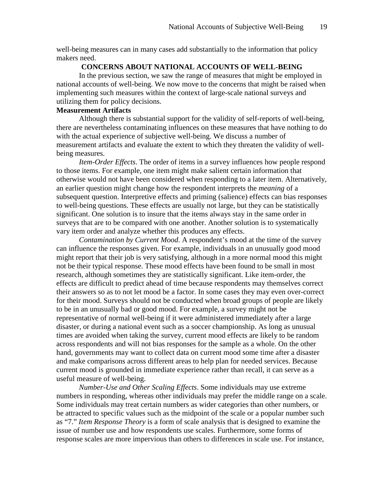well-being measures can in many cases add substantially to the information that policy makers need.

#### **CONCERNS ABOUT NATIONAL ACCOUNTS OF WELL-BEING**

In the previous section, we saw the range of measures that might be employed in national accounts of well-being. We now move to the concerns that might be raised when implementing such measures within the context of large-scale national surveys and utilizing them for policy decisions.

## **Measurement Artifacts**

Although there is substantial support for the validity of self-reports of well-being, there are nevertheless contaminating influences on these measures that have nothing to do with the actual experience of subjective well-being. We discuss a number of measurement artifacts and evaluate the extent to which they threaten the validity of wellbeing measures.

*Item-Order Effects*. The order of items in a survey influences how people respond to those items. For example, one item might make salient certain information that otherwise would not have been considered when responding to a later item. Alternatively, an earlier question might change how the respondent interprets the *meaning* of a subsequent question. Interpretive effects and priming (salience) effects can bias responses to well-being questions. These effects are usually not large, but they can be statistically significant. One solution is to insure that the items always stay in the same order in surveys that are to be compared with one another. Another solution is to systematically vary item order and analyze whether this produces any effects.

*Contamination by Current Mood*. A respondent's mood at the time of the survey can influence the responses given. For example, individuals in an unusually good mood might report that their job is very satisfying, although in a more normal mood this might not be their typical response. These mood effects have been found to be small in most research, although sometimes they are statistically significant. Like item-order, the effects are difficult to predict ahead of time because respondents may themselves correct their answers so as to not let mood be a factor. In some cases they may even over-correct for their mood. Surveys should not be conducted when broad groups of people are likely to be in an unusually bad or good mood. For example, a survey might not be representative of normal well-being if it were administered immediately after a large disaster, or during a national event such as a soccer championship. As long as unusual times are avoided when taking the survey, current mood effects are likely to be random across respondents and will not bias responses for the sample as a whole. On the other hand, governments may want to collect data on current mood some time after a disaster and make comparisons across different areas to help plan for needed services. Because current mood is grounded in immediate experience rather than recall, it can serve as a useful measure of well-being.

*Number-Use and Other Scaling Effects*. Some individuals may use extreme numbers in responding, whereas other individuals may prefer the middle range on a scale. Some individuals may treat certain numbers as wider categories than other numbers, or be attracted to specific values such as the midpoint of the scale or a popular number such as "7." *Item Response Theory* is a form of scale analysis that is designed to examine the issue of number use and how respondents use scales. Furthermore, some forms of response scales are more impervious than others to differences in scale use. For instance,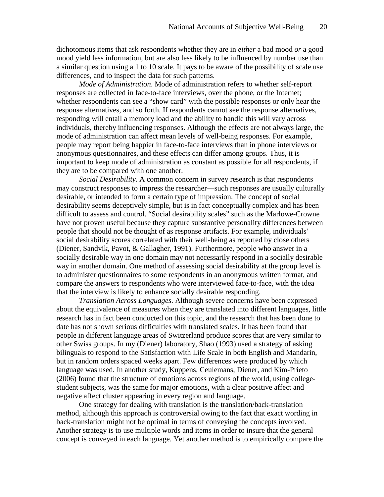dichotomous items that ask respondents whether they are in *either* a bad mood *or* a good mood yield less information, but are also less likely to be influenced by number use than a similar question using a 1 to 10 scale. It pays to be aware of the possibility of scale use differences, and to inspect the data for such patterns.

*Mode of Administration*. Mode of administration refers to whether self-report responses are collected in face-to-face interviews, over the phone, or the Internet; whether respondents can see a "show card" with the possible responses or only hear the response alternatives, and so forth. If respondents cannot see the response alternatives, responding will entail a memory load and the ability to handle this will vary across individuals, thereby influencing responses. Although the effects are not always large, the mode of administration can affect mean levels of well-being responses. For example, people may report being happier in face-to-face interviews than in phone interviews or anonymous questionnaires, and these effects can differ among groups. Thus, it is important to keep mode of administration as constant as possible for all respondents, if they are to be compared with one another.

*Social Desirability*. A common concern in survey research is that respondents may construct responses to impress the researcher—such responses are usually culturally desirable, or intended to form a certain type of impression. The concept of social desirability seems deceptively simple, but is in fact conceptually complex and has been difficult to assess and control. "Social desirability scales" such as the Marlowe-Crowne have not proven useful because they capture substantive personality differences between people that should not be thought of as response artifacts. For example, individuals' social desirability scores correlated with their well-being as reported by close others (Diener, Sandvik, Pavot, & Gallagher, 1991). Furthermore, people who answer in a socially desirable way in one domain may not necessarily respond in a socially desirable way in another domain. One method of assessing social desirability at the group level is to administer questionnaires to some respondents in an anonymous written format, and compare the answers to respondents who were interviewed face-to-face, with the idea that the interview is likely to enhance socially desirable responding.

*Translation Across Languages*. Although severe concerns have been expressed about the equivalence of measures when they are translated into different languages, little research has in fact been conducted on this topic, and the research that has been done to date has not shown serious difficulties with translated scales. It has been found that people in different language areas of Switzerland produce scores that are very similar to other Swiss groups. In my (Diener) laboratory, Shao (1993) used a strategy of asking bilinguals to respond to the Satisfaction with Life Scale in both English and Mandarin, but in random orders spaced weeks apart. Few differences were produced by which language was used. In another study, Kuppens, Ceulemans, Diener, and Kim-Prieto (2006) found that the structure of emotions across regions of the world, using collegestudent subjects, was the same for major emotions, with a clear positive affect and negative affect cluster appearing in every region and language.

One strategy for dealing with translation is the translation/back-translation method, although this approach is controversial owing to the fact that exact wording in back-translation might not be optimal in terms of conveying the concepts involved. Another strategy is to use multiple words and items in order to insure that the general concept is conveyed in each language. Yet another method is to empirically compare the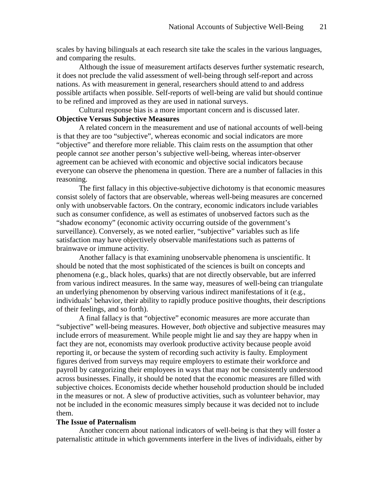scales by having bilinguals at each research site take the scales in the various languages, and comparing the results.

Although the issue of measurement artifacts deserves further systematic research, it does not preclude the valid assessment of well-being through self-report and across nations. As with measurement in general, researchers should attend to and address possible artifacts when possible. Self-reports of well-being are valid but should continue to be refined and improved as they are used in national surveys.

Cultural response bias is a more important concern and is discussed later. **Objective Versus Subjective Measures**

A related concern in the measurement and use of national accounts of well-being is that they are too "subjective", whereas economic and social indicators are more "objective" and therefore more reliable. This claim rests on the assumption that other people cannot *see* another person's subjective well-being, whereas inter-observer agreement can be achieved with economic and objective social indicators because everyone can observe the phenomena in question. There are a number of fallacies in this reasoning.

The first fallacy in this objective-subjective dichotomy is that economic measures consist solely of factors that are observable, whereas well-being measures are concerned only with unobservable factors. On the contrary, economic indicators include variables such as consumer confidence, as well as estimates of unobserved factors such as the "shadow economy" (economic activity occurring outside of the government's surveillance). Conversely, as we noted earlier, "subjective" variables such as life satisfaction may have objectively observable manifestations such as patterns of brainwave or immune activity.

Another fallacy is that examining unobservable phenomena is unscientific. It should be noted that the most sophisticated of the sciences is built on concepts and phenomena (e.g., black holes, quarks) that are not directly observable, but are inferred from various indirect measures. In the same way, measures of well-being can triangulate an underlying phenomenon by observing various indirect manifestations of it (e.g., individuals' behavior, their ability to rapidly produce positive thoughts, their descriptions of their feelings, and so forth).

A final fallacy is that "objective" economic measures are more accurate than "subjective" well-being measures. However, *both* objective and subjective measures may include errors of measurement. While people might lie and say they are happy when in fact they are not, economists may overlook productive activity because people avoid reporting it, or because the system of recording such activity is faulty. Employment figures derived from surveys may require employers to estimate their workforce and payroll by categorizing their employees in ways that may not be consistently understood across businesses. Finally, it should be noted that the economic measures are filled with subjective choices. Economists decide whether household production should be included in the measures or not. A slew of productive activities, such as volunteer behavior, may not be included in the economic measures simply because it was decided not to include them.

#### **The Issue of Paternalism**

Another concern about national indicators of well-being is that they will foster a paternalistic attitude in which governments interfere in the lives of individuals, either by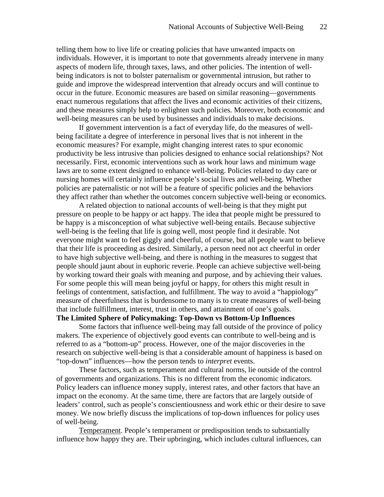telling them how to live life or creating policies that have unwanted impacts on individuals. However, it is important to note that governments already intervene in many aspects of modern life, through taxes, laws, and other policies. The intention of wellbeing indicators is not to bolster paternalism or governmental intrusion, but rather to guide and improve the widespread intervention that already occurs and will continue to occur in the future. Economic measures are based on similar reasoning—governments enact numerous regulations that affect the lives and economic activities of their citizens, and these measures simply help to enlighten such policies. Moreover, both economic and well-being measures can be used by businesses and individuals to make decisions.

If government intervention is a fact of everyday life, do the measures of wellbeing facilitate a degree of interference in personal lives that is not inherent in the economic measures? For example, might changing interest rates to spur economic productivity be less intrusive than policies designed to enhance social relationships? Not necessarily. First, economic interventions such as work hour laws and minimum wage laws are to some extent designed to enhance well-being. Policies related to day care or nursing homes will certainly influence people's social lives and well-being. Whether policies are paternalistic or not will be a feature of specific policies and the behaviors they affect rather than whether the outcomes concern subjective well-being or economics.

A related objection to national accounts of well-being is that they might put pressure on people to be happy or act happy. The idea that people might be pressured to be happy is a misconception of what subjective well-being entails. Because subjective well-being is the feeling that life is going well, most people find it desirable. Not everyone might want to feel giggly and cheerful, of course, but all people want to believe that their life is proceeding as desired. Similarly, a person need not act cheerful in order to have high subjective well-being, and there is nothing in the measures to suggest that people should jaunt about in euphoric reverie. People can achieve subjective well-being by working toward their goals with meaning and purpose, and by achieving their values. For some people this will mean being joyful or happy, for others this might result in feelings of contentment, satisfaction, and fulfillment. The way to avoid a "happiology" measure of cheerfulness that is burdensome to many is to create measures of well-being that include fulfillment, interest, trust in others, and attainment of one's goals.

## **The Limited Sphere of Policymaking: Top-Down vs Bottom-Up Influences**

Some factors that influence well-being may fall outside of the province of policy makers. The experience of objectively good events can contribute to well-being and is referred to as a "bottom-up" process. However, one of the major discoveries in the research on subjective well-being is that a considerable amount of happiness is based on "top-down" influences—how the person tends to *interpret* events.

These factors, such as temperament and cultural norms, lie outside of the control of governments and organizations. This is no different from the economic indicators. Policy leaders can influence money supply, interest rates, and other factors that have an impact on the economy. At the same time, there are factors that are largely outside of leaders' control, such as people's conscientiousness and work ethic or their desire to save money. We now briefly discuss the implications of top-down influences for policy uses of well-being.

Temperament. People's temperament or predisposition tends to substantially influence how happy they are. Their upbringing, which includes cultural influences, can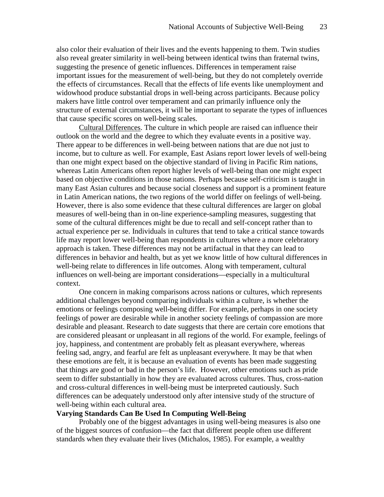also color their evaluation of their lives and the events happening to them. Twin studies also reveal greater similarity in well-being between identical twins than fraternal twins, suggesting the presence of genetic influences. Differences in temperament raise important issues for the measurement of well-being, but they do not completely override the effects of circumstances. Recall that the effects of life events like unemployment and widowhood produce substantial drops in well-being across participants. Because policy makers have little control over temperament and can primarily influence only the structure of external circumstances, it will be important to separate the types of influences that cause specific scores on well-being scales.

Cultural Differences. The culture in which people are raised can influence their outlook on the world and the degree to which they evaluate events in a positive way. There appear to be differences in well-being between nations that are due not just to income, but to culture as well. For example, East Asians report lower levels of well-being than one might expect based on the objective standard of living in Pacific Rim nations, whereas Latin Americans often report higher levels of well-being than one might expect based on objective conditions in those nations. Perhaps because self-criticism is taught in many East Asian cultures and because social closeness and support is a prominent feature in Latin American nations, the two regions of the world differ on feelings of well-being. However, there is also some evidence that these cultural differences are larger on global measures of well-being than in on-line experience-sampling measures, suggesting that some of the cultural differences might be due to recall and self-concept rather than to actual experience per se. Individuals in cultures that tend to take a critical stance towards life may report lower well-being than respondents in cultures where a more celebratory approach is taken. These differences may not be artifactual in that they can lead to differences in behavior and health, but as yet we know little of how cultural differences in well-being relate to differences in life outcomes. Along with temperament, cultural influences on well-being are important considerations—especially in a multicultural context.

One concern in making comparisons across nations or cultures, which represents additional challenges beyond comparing individuals within a culture, is whether the emotions or feelings composing well-being differ. For example, perhaps in one society feelings of power are desirable while in another society feelings of compassion are more desirable and pleasant. Research to date suggests that there are certain core emotions that are considered pleasant or unpleasant in all regions of the world. For example, feelings of joy, happiness, and contentment are probably felt as pleasant everywhere, whereas feeling sad, angry, and fearful are felt as unpleasant everywhere. It may be that when these emotions are felt, it is because an evaluation of events has been made suggesting that things are good or bad in the person's life. However, other emotions such as pride seem to differ substantially in how they are evaluated across cultures. Thus, cross-nation and cross-cultural differences in well-being must be interpreted cautiously. Such differences can be adequately understood only after intensive study of the structure of well-being within each cultural area.

#### **Varying Standards Can Be Used In Computing Well-Being**

Probably one of the biggest advantages in using well-being measures is also one of the biggest sources of confusion—the fact that different people often use different standards when they evaluate their lives (Michalos, 1985). For example, a wealthy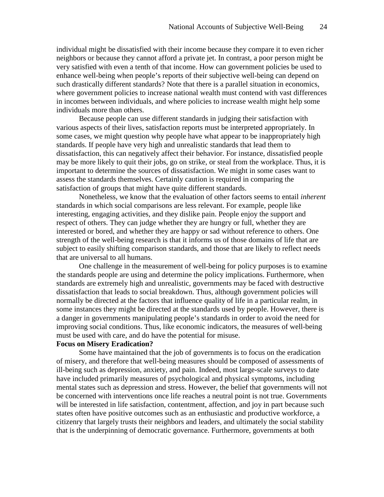individual might be dissatisfied with their income because they compare it to even richer neighbors or because they cannot afford a private jet. In contrast, a poor person might be very satisfied with even a tenth of that income. How can government policies be used to enhance well-being when people's reports of their subjective well-being can depend on such drastically different standards? Note that there is a parallel situation in economics, where government policies to increase national wealth must contend with vast differences in incomes between individuals, and where policies to increase wealth might help some individuals more than others.

Because people can use different standards in judging their satisfaction with various aspects of their lives, satisfaction reports must be interpreted appropriately. In some cases, we might question why people have what appear to be inappropriately high standards. If people have very high and unrealistic standards that lead them to dissatisfaction, this can negatively affect their behavior. For instance, dissatisfied people may be more likely to quit their jobs, go on strike, or steal from the workplace. Thus, it is important to determine the sources of dissatisfaction. We might in some cases want to assess the standards themselves. Certainly caution is required in comparing the satisfaction of groups that might have quite different standards.

Nonetheless, we know that the evaluation of other factors seems to entail *inherent* standards in which social comparisons are less relevant. For example, people like interesting, engaging activities, and they dislike pain. People enjoy the support and respect of others. They can judge whether they are hungry or full, whether they are interested or bored, and whether they are happy or sad without reference to others. One strength of the well-being research is that it informs us of those domains of life that are subject to easily shifting comparison standards, and those that are likely to reflect needs that are universal to all humans.

One challenge in the measurement of well-being for policy purposes is to examine the standards people are using and determine the policy implications. Furthermore, when standards are extremely high and unrealistic, governments may be faced with destructive dissatisfaction that leads to social breakdown. Thus, although government policies will normally be directed at the factors that influence quality of life in a particular realm, in some instances they might be directed at the standards used by people. However, there is a danger in governments manipulating people's standards in order to avoid the need for improving social conditions. Thus, like economic indicators, the measures of well-being must be used with care, and do have the potential for misuse.

#### **Focus on Misery Eradication?**

Some have maintained that the job of governments is to focus on the eradication of misery, and therefore that well-being measures should be composed of assessments of ill-being such as depression, anxiety, and pain. Indeed, most large-scale surveys to date have included primarily measures of psychological and physical symptoms, including mental states such as depression and stress. However, the belief that governments will not be concerned with interventions once life reaches a neutral point is not true. Governments will be interested in life satisfaction, contentment, affection, and joy in part because such states often have positive outcomes such as an enthusiastic and productive workforce, a citizenry that largely trusts their neighbors and leaders, and ultimately the social stability that is the underpinning of democratic governance. Furthermore, governments at both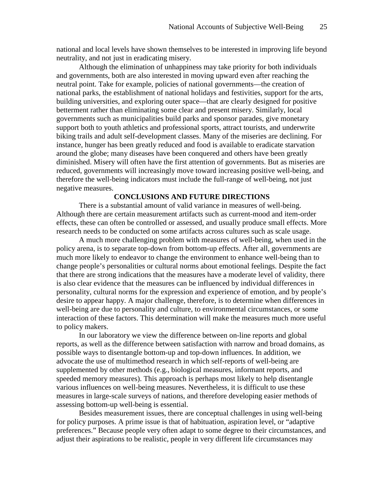national and local levels have shown themselves to be interested in improving life beyond neutrality, and not just in eradicating misery.

Although the elimination of unhappiness may take priority for both individuals and governments, both are also interested in moving upward even after reaching the neutral point. Take for example, policies of national governments—the creation of national parks, the establishment of national holidays and festivities, support for the arts, building universities, and exploring outer space—that are clearly designed for positive betterment rather than eliminating some clear and present misery. Similarly, local governments such as municipalities build parks and sponsor parades, give monetary support both to youth athletics and professional sports, attract tourists, and underwrite biking trails and adult self-development classes. Many of the miseries are declining. For instance, hunger has been greatly reduced and food is available to eradicate starvation around the globe; many diseases have been conquered and others have been greatly diminished. Misery will often have the first attention of governments. But as miseries are reduced, governments will increasingly move toward increasing positive well-being, and therefore the well-being indicators must include the full-range of well-being, not just negative measures.

## **CONCLUSIONS AND FUTURE DIRECTIONS**

There is a substantial amount of valid variance in measures of well-being. Although there are certain measurement artifacts such as current-mood and item-order effects, these can often be controlled or assessed, and usually produce small effects. More research needs to be conducted on some artifacts across cultures such as scale usage.

A much more challenging problem with measures of well-being, when used in the policy arena, is to separate top-down from bottom-up effects. After all, governments are much more likely to endeavor to change the environment to enhance well-being than to change people's personalities or cultural norms about emotional feelings. Despite the fact that there are strong indications that the measures have a moderate level of validity, there is also clear evidence that the measures can be influenced by individual differences in personality, cultural norms for the expression and experience of emotion, and by people's desire to appear happy. A major challenge, therefore, is to determine when differences in well-being are due to personality and culture, to environmental circumstances, or some interaction of these factors. This determination will make the measures much more useful to policy makers.

In our laboratory we view the difference between on-line reports and global reports, as well as the difference between satisfaction with narrow and broad domains, as possible ways to disentangle bottom-up and top-down influences. In addition, we advocate the use of multimethod research in which self-reports of well-being are supplemented by other methods (e.g., biological measures, informant reports, and speeded memory measures). This approach is perhaps most likely to help disentangle various influences on well-being measures. Nevertheless, it is difficult to use these measures in large-scale surveys of nations, and therefore developing easier methods of assessing bottom-up well-being is essential.

Besides measurement issues, there are conceptual challenges in using well-being for policy purposes. A prime issue is that of habituation, aspiration level, or "adaptive preferences." Because people very often adapt to some degree to their circumstances, and adjust their aspirations to be realistic, people in very different life circumstances may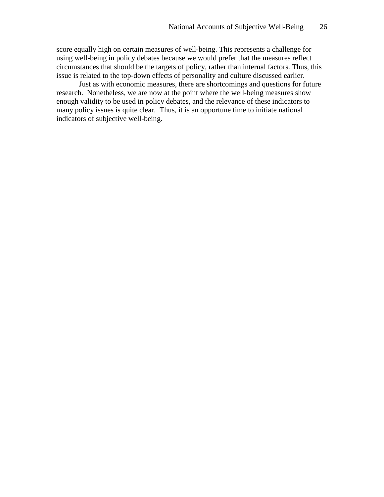score equally high on certain measures of well-being. This represents a challenge for using well-being in policy debates because we would prefer that the measures reflect circumstances that should be the targets of policy, rather than internal factors. Thus, this issue is related to the top-down effects of personality and culture discussed earlier.

Just as with economic measures, there are shortcomings and questions for future research. Nonetheless, we are now at the point where the well-being measures show enough validity to be used in policy debates, and the relevance of these indicators to many policy issues is quite clear. Thus, it is an opportune time to initiate national indicators of subjective well-being.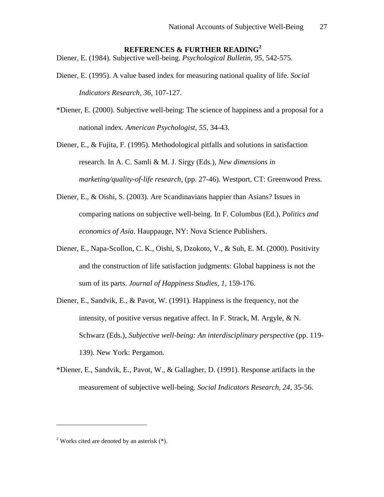## **REFERENCES & FURTHER READING<sup>2</sup>**

Diener, E. (1984). Subjective well-being. *Psychological Bulletin, 95*, 542-575.

- Diener, E. (1995). A value based index for measuring national quality of life. *Social Indicators Research, 36*, 107-127.
- \*Diener, E. (2000). Subjective well-being: The science of happiness and a proposal for a national index. *American Psychologist, 55*, 34-43.

Diener, E., & Fujita, F. (1995). Methodological pitfalls and solutions in satisfaction research. In A. C. Samli & M. J. Sirgy (Eds.), *New dimensions in marketing/quality-of-life research*, (pp. 27-46). Westport, CT: Greenwood Press.

- Diener, E., & Oishi, S. (2003). Are Scandinavians happier than Asians? Issues in comparing nations on subjective well-being. In F. Columbus (Ed.), *Politics and economics of Asia.* Hauppauge, NY: Nova Science Publishers.
- Diener, E., Napa-Scollon, C. K., Oishi, S, Dzokoto, V., & Suh, E. M. (2000). Positivity and the construction of life satisfaction judgments: Global happiness is not the sum of its parts. *Journal of Happiness Studies, 1*, 159-176.
- Diener, E., Sandvik, E., & Pavot, W. (1991). Happiness is the frequency, not the intensity, of positive versus negative affect. In F. Strack, M. Argyle, & N. Schwarz (Eds.), *Subjective well-being: An interdisciplinary perspective* (pp. 119- 139). New York: Pergamon.
- \*Diener, E., Sandvik, E., Pavot, W., & Gallagher, D. (1991). Response artifacts in the measurement of subjective well-being. *Social Indicators Research, 24*, 35-56.

 $2$  Works cited are denoted by an asterisk  $(*)$ .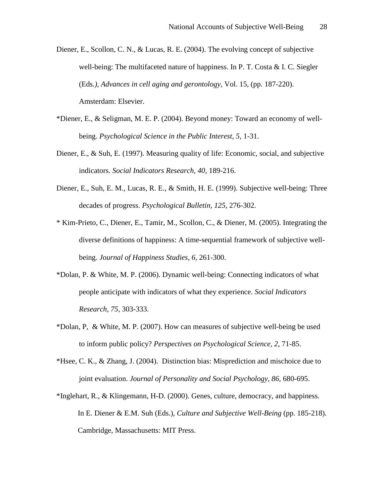- Diener, E., Scollon, C. N., & Lucas, R. E. (2004). The evolving concept of subjective well-being: The multifaceted nature of happiness. In P. T. Costa & I. C. Siegler (Eds*.), Advances in cell aging and gerontology,* Vol. 15, (pp. 187-220). Amsterdam: Elsevier.
- \*Diener, E., & Seligman, M. E. P. (2004). Beyond money: Toward an economy of wellbeing. *Psychological Science in the Public Interest*, *5,* 1-31.
- Diener, E., & Suh, E. (1997). Measuring quality of life: Economic, social, and subjective indicators. *Social Indicators Research, 40*, 189-216.
- Diener, E., Suh, E. M., Lucas, R. E., & Smith, H. E. (1999). Subjective well-being: Three decades of progress. *Psychological Bulletin, 125*, 276-302.
- \* Kim-Prieto, C., Diener, E., Tamir, M., Scollon, C., & Diener, M. (2005). Integrating the diverse definitions of happiness: A time-sequential framework of subjective wellbeing. *Journal of Happiness Studies, 6*, 261-300.
- \*Dolan, P. & White, M. P. (2006). Dynamic well-being: Connecting indicators of what people anticipate with indicators of what they experience. *Social Indicators Research, 75*, 303-333.
- \*Dolan, P, & White, M. P. (2007). How can measures of subjective well-being be used to inform public policy? *Perspectives on Psychological Science, 2*, 71-85.
- \*Hsee, C. K., & Zhang, J. (2004). Distinction bias: Misprediction and mischoice due to joint evaluation. *Journal of Personality and Social Psychology, 86,* 680-695.
- \*Inglehart, R., & Klingemann, H-D. (2000). Genes, culture, democracy, and happiness. In E. Diener & E.M. Suh (Eds.), *Culture and Subjective Well-Being* (pp. 185-218). Cambridge, Massachusetts: MIT Press.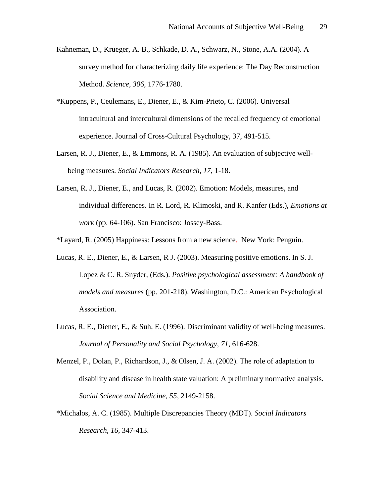- Kahneman, D., Krueger, A. B., Schkade, D. A., Schwarz, N., Stone, A.A. (2004). A survey method for characterizing daily life experience: The Day Reconstruction Method. *Science, 306,* 1776-1780.
- \*Kuppens, P., Ceulemans, E., Diener, E., & Kim-Prieto, C. (2006). Universal intracultural and intercultural dimensions of the recalled frequency of emotional experience. Journal of Cross-Cultural Psychology, 37, 491-515.
- Larsen, R. J., Diener, E., & Emmons, R. A. (1985). An evaluation of subjective wellbeing measures. *Social Indicators Research, 17*, 1-18.
- Larsen, R. J., Diener, E., and Lucas, R. (2002). Emotion: Models, measures, and individual differences. In R. Lord, R. Klimoski, and R. Kanfer (Eds.), *Emotions at work* (pp. 64-106). San Francisco: Jossey-Bass.

\*Layard, R. (2005) Happiness: Lessons from a new science. New York: Penguin.

- Lucas, R. E., Diener, E., & Larsen, R J. (2003). Measuring positive emotions. In S. J. Lopez & C. R. Snyder, (Eds*.*). *Positive psychological assessment: A handbook of models and measures* (pp. 201-218). Washington, D.C.: American Psychological Association.
- Lucas, R. E., Diener, E., & Suh, E. (1996). Discriminant validity of well-being measures. *Journal of Personality and Social Psychology, 71*, 616-628.
- Menzel, P., Dolan, P., Richardson, J., & Olsen, J. A. (2002). The role of adaptation to disability and disease in health state valuation: A preliminary normative analysis. *Social Science and Medicine, 55*, 2149-2158.
- \*Michalos, A. C. (1985). Multiple Discrepancies Theory (MDT). *Social Indicators Research, 16*, 347-413.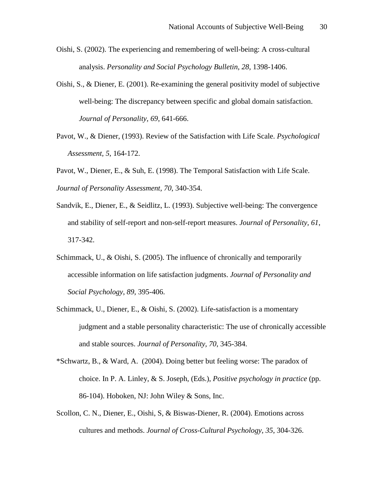- Oishi, S. (2002). The experiencing and remembering of well-being: A cross-cultural analysis. *Personality and Social Psychology Bulletin*, *28*, 1398-1406.
- Oishi, S., & Diener, E. (2001). Re-examining the general positivity model of subjective well-being: The discrepancy between specific and global domain satisfaction. *Journal of Personality, 69*, 641-666.
- Pavot, W., & Diener, (1993). Review of the Satisfaction with Life Scale. *Psychological Assessment, 5*, 164-172.

Pavot, W., Diener, E., & Suh, E. (1998). The Temporal Satisfaction with Life Scale. *Journal of Personality Assessment, 70*, 340-354.

- Sandvik, E., Diener, E., & Seidlitz, L. (1993). Subjective well-being: The convergence and stability of self-report and non-self-report measures. *Journal of Personality, 61*, 317-342.
- Schimmack, U., & Oishi, S. (2005). The influence of chronically and temporarily accessible information on life satisfaction judgments. *Journal of Personality and Social Psychology*, *89*, 395-406.
- Schimmack, U., Diener, E., & Oishi, S. (2002). Life-satisfaction is a momentary judgment and a stable personality characteristic: The use of chronically accessible and stable sources. *Journal of Personality, 70*, 345-384.
- \*Schwartz, B., & Ward, A. (2004). Doing better but feeling worse: The paradox of choice. In P. A. Linley, & S. Joseph, (Eds.), *Positive psychology in practice* (pp. 86-104). Hoboken, NJ: John Wiley & Sons, Inc.
- Scollon, C. N., Diener, E., Oishi, S, & Biswas-Diener, R. (2004). Emotions across cultures and methods. *Journal of Cross-Cultural Psychology, 35*, 304-326.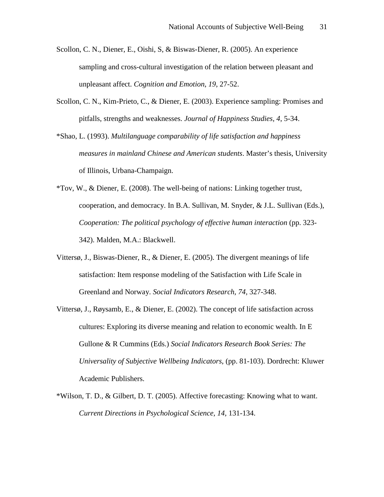- Scollon, C. N., Diener, E., Oishi, S, & Biswas-Diener, R. (2005). An experience sampling and cross-cultural investigation of the relation between pleasant and unpleasant affect. *Cognition and Emotion*, *19*, 27-52.
- Scollon, C. N., Kim-Prieto, C., & Diener, E. (2003). Experience sampling: Promises and pitfalls, strengths and weaknesses. *Journal of Happiness Studies, 4*, 5-34.
- \*Shao, L. (1993). *Multilanguage comparability of life satisfaction and happiness measures in mainland Chinese and American students*. Master's thesis, University of Illinois, Urbana-Champaign.
- \*Tov, W., & Diener, E. (2008). The well-being of nations: Linking together trust, cooperation, and democracy. In B.A. Sullivan, M. Snyder, & J.L. Sullivan (Eds.), *Cooperation: The political psychology of effective human interaction* (pp. 323- 342). Malden, M.A.: Blackwell.
- Vittersø, J., Biswas-Diener, R., & Diener, E. (2005). The divergent meanings of life satisfaction: Item response modeling of the Satisfaction with Life Scale in Greenland and Norway. *Social Indicators Research*, *74,* 327-348.
- Vittersø, J., Røysamb, E., & Diener, E. (2002). The concept of life satisfaction across cultures: Exploring its diverse meaning and relation to economic wealth. In E Gullone & R Cummins (Eds.) *Social Indicators Research Book Series: The Universality of Subjective Wellbeing Indicators*, (pp. 81-103). Dordrecht: Kluwer Academic Publishers.
- \*Wilson, T. D., & Gilbert, D. T. (2005). Affective forecasting: Knowing what to want. *Current Directions in Psychological Science, 14,* 131-134.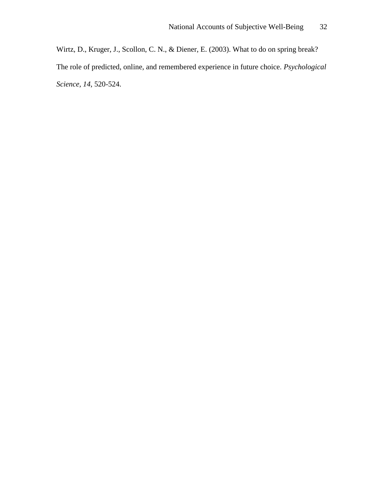Wirtz, D., Kruger, J., Scollon, C. N., & Diener, E. (2003). What to do on spring break? The role of predicted, online, and remembered experience in future choice. *Psychological Science, 14*, 520-524.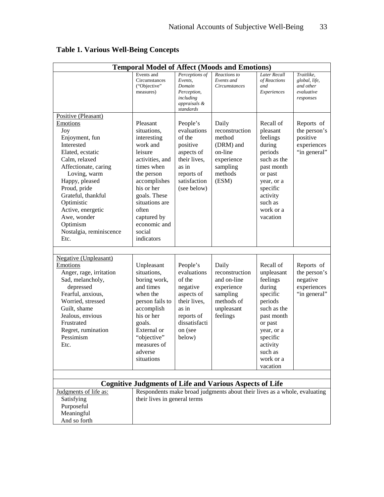| <b>Temporal Model of Affect (Moods and Emotions)</b>                                                                                                                                                                                                                                                         |                                                                                                                                                                                                                                              |                                                                                                                                          |                                                                                                          |                                                                                                                                                                                        |                                                                       |  |
|--------------------------------------------------------------------------------------------------------------------------------------------------------------------------------------------------------------------------------------------------------------------------------------------------------------|----------------------------------------------------------------------------------------------------------------------------------------------------------------------------------------------------------------------------------------------|------------------------------------------------------------------------------------------------------------------------------------------|----------------------------------------------------------------------------------------------------------|----------------------------------------------------------------------------------------------------------------------------------------------------------------------------------------|-----------------------------------------------------------------------|--|
|                                                                                                                                                                                                                                                                                                              | Events and<br>Circumstances<br>("Objective"<br>measures)                                                                                                                                                                                     | Perceptions of<br>Events,<br>Domain<br>Perception,<br>including<br>appraisals &<br>standards                                             | Reactions to<br>Events and<br>Circumstances                                                              | Later Recall<br>of Reactions<br>and<br>Experiences                                                                                                                                     | Traitlike,<br>global, life,<br>and other<br>evaluative<br>responses   |  |
| Positive (Pleasant)<br>Emotions<br>Joy<br>Enjoyment, fun<br>Interested<br>Elated, ecstatic<br>Calm, relaxed<br>Affectionate, caring<br>Loving, warm<br>Happy, pleased<br>Proud, pride<br>Grateful, thankful<br>Optimistic<br>Active, energetic<br>Awe, wonder<br>Optimism<br>Nostalgia, reminiscence<br>Etc. | Pleasant<br>situations,<br>interesting<br>work and<br>leisure<br>activities, and<br>times when<br>the person<br>accomplishes<br>his or her<br>goals. These<br>situations are<br>often<br>captured by<br>economic and<br>social<br>indicators | People's<br>evaluations<br>of the<br>positive<br>aspects of<br>their lives,<br>as in<br>reports of<br>satisfaction<br>(see below)        | Daily<br>reconstruction<br>method<br>(DRM) and<br>on-line<br>experience<br>sampling<br>methods<br>(ESM)  | Recall of<br>pleasant<br>feelings<br>during<br>periods<br>such as the<br>past month<br>or past<br>year, or a<br>specific<br>activity<br>such as<br>work or a<br>vacation               | Reports of<br>the person's<br>positive<br>experiences<br>"in general" |  |
| <b>Negative (Unpleasant)</b><br>Emotions<br>Anger, rage, irritation<br>Sad, melancholy,<br>depressed<br>Fearful, anxious,<br>Worried, stressed<br>Guilt, shame<br>Jealous, envious<br>Frustrated<br>Regret, rumination<br>Pessimism<br>Etc.                                                                  | Unpleasant<br>situations,<br>boring work,<br>and times<br>when the<br>person fails to<br>accomplish<br>his or her<br>goals.<br>External or<br>"objective"<br>measures of<br>adverse<br>situations                                            | People's<br>evaluations<br>of the<br>negative<br>aspects of<br>their lives,<br>as in<br>reports of<br>dissatisfacti<br>on (see<br>below) | Daily<br>reconstruction<br>and on-line<br>experience<br>sampling<br>methods of<br>unpleasant<br>feelings | Recall of<br>unpleasant<br>feelings<br>during<br>specific<br>periods<br>such as the<br>past month<br>or past<br>year, or a<br>specific<br>activity<br>such as<br>work or a<br>vacation | Reports of<br>the person's<br>negative<br>experiences<br>"in general" |  |
| <b>Cognitive Judgments of Life and Various Aspects of Life</b><br>Respondents make broad judgments about their lives as a whole, evaluating<br>Judgments of life as:<br>their lives in general terms<br>Satisfying<br>Purposeful<br>Meaningful<br>And so forth                                               |                                                                                                                                                                                                                                              |                                                                                                                                          |                                                                                                          |                                                                                                                                                                                        |                                                                       |  |

**Table 1. Various Well-Being Concepts**